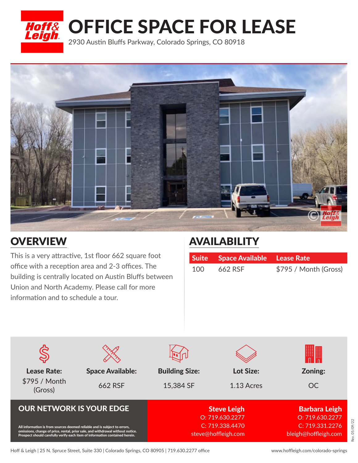



## **OVERVIEW**

This is a very attractive, 1st floor 662 square foot office with a reception area and 2-3 offices. The building is centrally located on Austin Bluffs between Union and North Academy. Please call for more information and to schedule a tour.

## AVAILABILITY

|       | Suite Space Available Lease Rate |                       |
|-------|----------------------------------|-----------------------|
| 100 l | 662 RSF                          | \$795 / Month (Gross) |

|                                                                                                                                                                                                                                            |                         |                                        |            | <br><br>             |
|--------------------------------------------------------------------------------------------------------------------------------------------------------------------------------------------------------------------------------------------|-------------------------|----------------------------------------|------------|----------------------|
| <b>Lease Rate:</b>                                                                                                                                                                                                                         | <b>Space Available:</b> | <b>Building Size:</b>                  | Lot Size:  | Zoning:              |
| \$795 / Month<br>(Gross)                                                                                                                                                                                                                   | 662 RSF                 | 15,384 SF                              | 1.13 Acres | <b>OC</b>            |
| <b>OUR NETWORK IS YOUR EDGE</b>                                                                                                                                                                                                            |                         | <b>Steve Leigh</b>                     |            | <b>Barbara Leigh</b> |
| All information is from sources deemed reliable and is subject to errors,<br>omissions, change of price, rental, prior sale, and withdrawal without notice.<br>Prospect should carefully verify each item of information contained herein. |                         | O: 719.630.2277                        |            | O: 719.630.2277      |
|                                                                                                                                                                                                                                            |                         | C: 719.338.4470<br>steve@hoffleigh.com |            | C: 719.331.2276      |
|                                                                                                                                                                                                                                            |                         |                                        |            | bleigh@hoffleigh.com |
|                                                                                                                                                                                                                                            |                         |                                        |            |                      |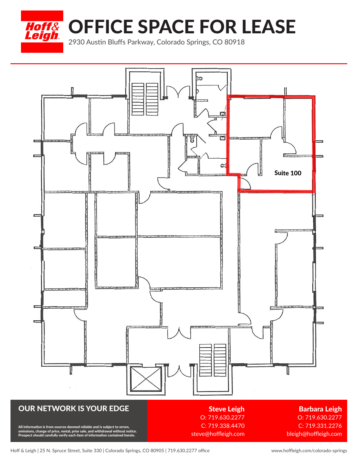Hoff& OFFICE SPACE FOR LEASE

2930 Austin Bluffs Parkway, Colorado Springs, CO 80918



## OUR NETWORK IS YOUR EDGE

All information is from sources deemed reliable and is subject to errors,<br>omissions, change of price, rental, prior sale, and withdrawal without notice.<br>Prospect should carefully verify each item of information contained h

Steve Leigh O: 719.630.2277 C: 719.338.4470 steve@hoffleigh.com

Barbara Leigh O: 719.630.2277

C: 719.331.2276 bleigh@hoffleigh.com